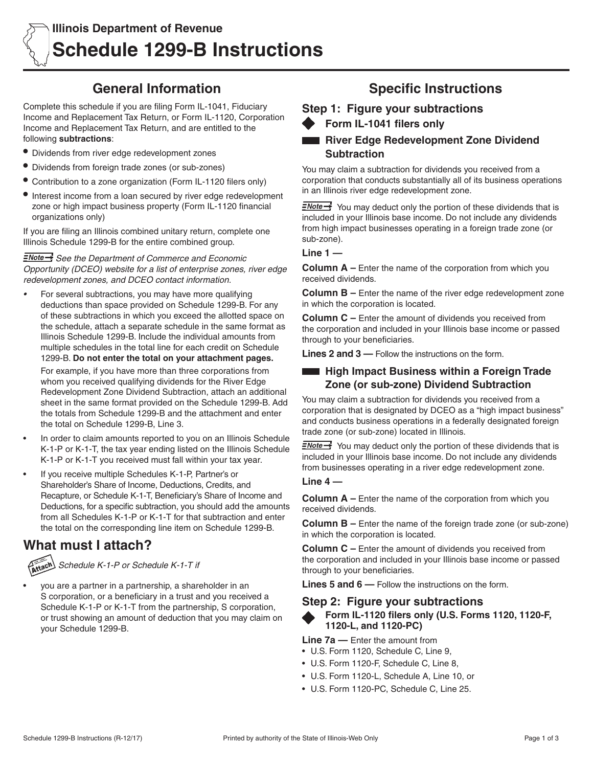# **General Information**

Complete this schedule if you are filing Form IL-1041, Fiduciary Income and Replacement Tax Return, or Form IL-1120, Corporation Income and Replacement Tax Return, and are entitled to the following **subtractions**:

- **•** Dividends from river edge redevelopment zones
- **•** Dividends from foreign trade zones (or sub-zones)
- **•** Contribution to a zone organization (Form IL-1120 filers only)
- **•** Interest income from a loan secured by river edge redevelopment zone or high impact business property (Form IL-1120 financial organizations only)

If you are filing an Illinois combined unitary return, complete one Illinois Schedule 1299-B for the entire combined group.

*See the Department of Commerce and Economic Opportunity (DCEO) website for a list of enterprise zones, river edge redevelopment zones, and DCEO contact information.*

For several subtractions, you may have more qualifying deductions than space provided on Schedule 1299-B. For any of these subtractions in which you exceed the allotted space on the schedule, attach a separate schedule in the same format as Illinois Schedule 1299-B. Include the individual amounts from multiple schedules in the total line for each credit on Schedule 1299-B. **Do not enter the total on your attachment pages.**

For example, if you have more than three corporations from whom you received qualifying dividends for the River Edge Redevelopment Zone Dividend Subtraction, attach an additional sheet in the same format provided on the Schedule 1299-B. Add the totals from Schedule 1299-B and the attachment and enter the total on Schedule 1299-B, Line 3.

- In order to claim amounts reported to you on an Illinois Schedule K-1-P or K-1-T, the tax year ending listed on the Illinois Schedule K-1-P or K-1-T you received must fall within your tax year.
- If you receive multiple Schedules K-1-P, Partner's or Shareholder's Share of Income, Deductions, Credits, and Recapture, or Schedule K-1-T, Beneficiary's Share of Income and Deductions, for a specific subtraction, you should add the amounts from all Schedules K-1-P or K-1-T for that subtraction and enter the total on the corresponding line item on Schedule 1299-B.

# **What must I attach?**

*Schedule K-1-P or Schedule K-1-T if*

you are a partner in a partnership, a shareholder in an S corporation, or a beneficiary in a trust and you received a Schedule K-1-P or K-1-T from the partnership, S corporation, or trust showing an amount of deduction that you may claim on your Schedule 1299-B.

# **Specific Instructions**

**Step 1: Figure your subtractions** 

**Form IL-1041 filers only**

# **River Edge Redevelopment Zone Dividend Subtraction**

You may claim a subtraction for dividends you received from a corporation that conducts substantially all of its business operations in an Illinois river edge redevelopment zone.

 $\equiv$ Note  $\rightarrow$  You may deduct only the portion of these dividends that is included in your Illinois base income. Do not include any dividends from high impact businesses operating in a foreign trade zone (or sub-zone).

### **Line 1 —**

**Column A –** Enter the name of the corporation from which you received dividends.

**Column B –** Enter the name of the river edge redevelopment zone in which the corporation is located.

**Column C –** Enter the amount of dividends you received from the corporation and included in your Illinois base income or passed through to your beneficiaries.

**Lines 2 and 3 —** Follow the instructions on the form.

# **High Impact Business within a Foreign Trade Zone (or sub-zone) Dividend Subtraction**

You may claim a subtraction for dividends you received from a corporation that is designated by DCEO as a "high impact business" and conducts business operations in a federally designated foreign trade zone (or sub-zone) located in Illinois.

 $\equiv$ Note  $\rightarrow$  You may deduct only the portion of these dividends that is included in your Illinois base income. Do not include any dividends from businesses operating in a river edge redevelopment zone.

## **Line 4 —**

**Column A –** Enter the name of the corporation from which you received dividends.

**Column B –** Enter the name of the foreign trade zone (or sub-zone) in which the corporation is located.

**Column C –** Enter the amount of dividends you received from the corporation and included in your Illinois base income or passed through to your beneficiaries.

**Lines 5 and 6 —** Follow the instructions on the form.

# **Step 2: Figure your subtractions**



**Form IL-1120 filers only (U.S. Forms 1120, 1120-F, 1120-L, and 1120-PC)** 

**Line 7a —** Enter the amount from

- • U.S. Form 1120, Schedule C, Line 9,
- • U.S. Form 1120-F, Schedule C, Line 8,
- • U.S. Form 1120-L, Schedule A, Line 10, or
- • U.S. Form 1120-PC, Schedule C, Line 25.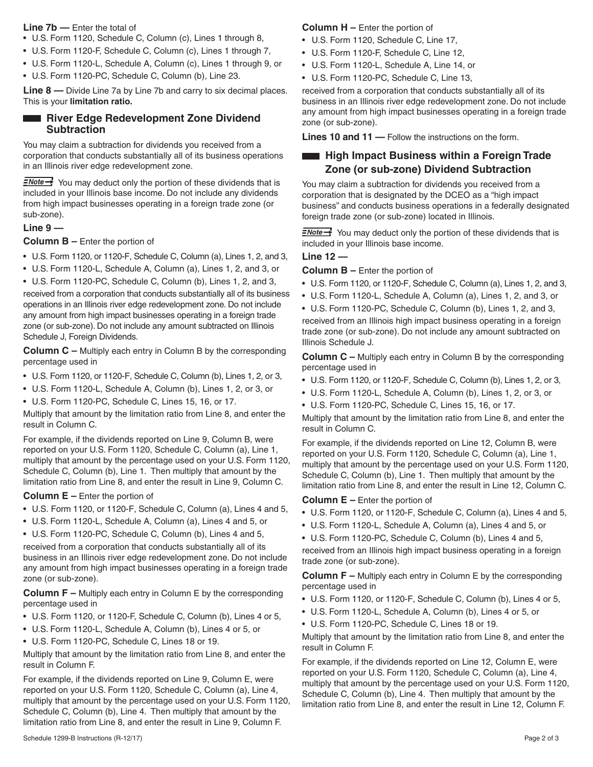### **Line 7b —** Enter the total of

- U.S. Form 1120, Schedule C, Column (c), Lines 1 through 8,
- • U.S. Form 1120-F, Schedule C, Column (c), Lines 1 through 7,
- U.S. Form 1120-L, Schedule A, Column (c), Lines 1 through 9, or
- • U.S. Form 1120-PC, Schedule C, Column (b), Line 23.

**Line 8** — Divide Line 7a by Line 7b and carry to six decimal places. This is your **limitation ratio.**

# **River Edge Redevelopment Zone Dividend Subtraction**

You may claim a subtraction for dividends you received from a corporation that conducts substantially all of its business operations in an Illinois river edge redevelopment zone.

 $\frac{7}{2}$  You may deduct only the portion of these dividends that is included in your Illinois base income. Do not include any dividends from high impact businesses operating in a foreign trade zone (or sub-zone).

### **Line 9 —**

### **Column B –** Enter the portion of

- • U.S. Form 1120, or 1120-F, Schedule C, Column (a), Lines 1, 2, and 3,
- • U.S. Form 1120-L, Schedule A, Column (a), Lines 1, 2, and 3, or
- • U.S. Form 1120-PC, Schedule C, Column (b), Lines 1, 2, and 3,

received from a corporation that conducts substantially all of its business operations in an Illinois river edge redevelopment zone. Do not include any amount from high impact businesses operating in a foreign trade zone (or sub-zone). Do not include any amount subtracted on Illinois Schedule J, Foreign Dividends.

**Column C –** Multiply each entry in Column B by the corresponding percentage used in

- • U.S. Form 1120, or 1120-F, Schedule C, Column (b), Lines 1, 2, or 3,
- • U.S. Form 1120-L, Schedule A, Column (b), Lines 1, 2, or 3, or
- • U.S. Form 1120-PC, Schedule C, Lines 15, 16, or 17.

Multiply that amount by the limitation ratio from Line 8, and enter the result in Column C.

For example, if the dividends reported on Line 9, Column B, were reported on your U.S. Form 1120, Schedule C, Column (a), Line 1, multiply that amount by the percentage used on your U.S. Form 1120, Schedule C, Column (b), Line 1. Then multiply that amount by the limitation ratio from Line 8, and enter the result in Line 9, Column C.

### **Column E –** Enter the portion of

- U.S. Form 1120, or 1120-F, Schedule C, Column (a), Lines 4 and 5,
- • U.S. Form 1120-L, Schedule A, Column (a), Lines 4 and 5, or

• U.S. Form 1120-PC, Schedule C, Column (b), Lines 4 and 5, received from a corporation that conducts substantially all of its business in an Illinois river edge redevelopment zone. Do not include any amount from high impact businesses operating in a foreign trade zone (or sub-zone).

**Column F –** Multiply each entry in Column E by the corresponding percentage used in

- U.S. Form 1120, or 1120-F, Schedule C, Column (b), Lines 4 or 5,
- • U.S. Form 1120-L, Schedule A, Column (b), Lines 4 or 5, or
- • U.S. Form 1120-PC, Schedule C, Lines 18 or 19.

Multiply that amount by the limitation ratio from Line 8, and enter the result in Column F.

For example, if the dividends reported on Line 9, Column E, were reported on your U.S. Form 1120, Schedule C, Column (a), Line 4, multiply that amount by the percentage used on your U.S. Form 1120, Schedule C, Column (b), Line 4. Then multiply that amount by the limitation ratio from Line 8, and enter the result in Line 9, Column F.

### **Column H –** Enter the portion of

- • U.S. Form 1120, Schedule C, Line 17,
- • U.S. Form 1120-F, Schedule C, Line 12,
- • U.S. Form 1120-L, Schedule A, Line 14, or
- • U.S. Form 1120-PC, Schedule C, Line 13,

received from a corporation that conducts substantially all of its business in an Illinois river edge redevelopment zone. Do not include any amount from high impact businesses operating in a foreign trade zone (or sub-zone).

**Lines 10 and 11 —** Follow the instructions on the form.

# **High Impact Business within a Foreign Trade Zone (or sub-zone) Dividend Subtraction**

You may claim a subtraction for dividends you received from a corporation that is designated by the DCEO as a "high impact business" and conducts business operations in a federally designated foreign trade zone (or sub-zone) located in Illinois.

 $\exists$  Note  $\rightarrow$  You may deduct only the portion of these dividends that is included in your Illinois base income.

# **Line 12 —**

**Column B –** Enter the portion of

- • U.S. Form 1120, or 1120-F, Schedule C, Column (a), Lines 1, 2, and 3,
- • U.S. Form 1120-L, Schedule A, Column (a), Lines 1, 2, and 3, or

• U.S. Form 1120-PC, Schedule C, Column (b), Lines 1, 2, and 3, received from an Illinois high impact business operating in a foreign

trade zone (or sub-zone). Do not include any amount subtracted on Illinois Schedule J.

**Column C –** Multiply each entry in Column B by the corresponding percentage used in

- U.S. Form 1120, or 1120-F, Schedule C, Column (b), Lines 1, 2, or 3,
- • U.S. Form 1120-L, Schedule A, Column (b), Lines 1, 2, or 3, or
- • U.S. Form 1120-PC, Schedule C, Lines 15, 16, or 17.

Multiply that amount by the limitation ratio from Line 8, and enter the result in Column C.

For example, if the dividends reported on Line 12, Column B, were reported on your U.S. Form 1120, Schedule C, Column (a), Line 1, multiply that amount by the percentage used on your U.S. Form 1120, Schedule C, Column (b), Line 1. Then multiply that amount by the limitation ratio from Line 8, and enter the result in Line 12, Column C.

### **Column E –** Enter the portion of

- • U.S. Form 1120, or 1120-F, Schedule C, Column (a), Lines 4 and 5,
- • U.S. Form 1120-L, Schedule A, Column (a), Lines 4 and 5, or
- U.S. Form 1120-PC, Schedule C, Column (b), Lines 4 and 5,

received from an Illinois high impact business operating in a foreign trade zone (or sub-zone).

**Column F –** Multiply each entry in Column E by the corresponding percentage used in

- • U.S. Form 1120, or 1120-F, Schedule C, Column (b), Lines 4 or 5,
- • U.S. Form 1120-L, Schedule A, Column (b), Lines 4 or 5, or
- • U.S. Form 1120-PC, Schedule C, Lines 18 or 19.

Multiply that amount by the limitation ratio from Line 8, and enter the result in Column F.

For example, if the dividends reported on Line 12, Column E, were reported on your U.S. Form 1120, Schedule C, Column (a), Line 4, multiply that amount by the percentage used on your U.S. Form 1120, Schedule C, Column (b), Line 4. Then multiply that amount by the limitation ratio from Line 8, and enter the result in Line 12, Column F.